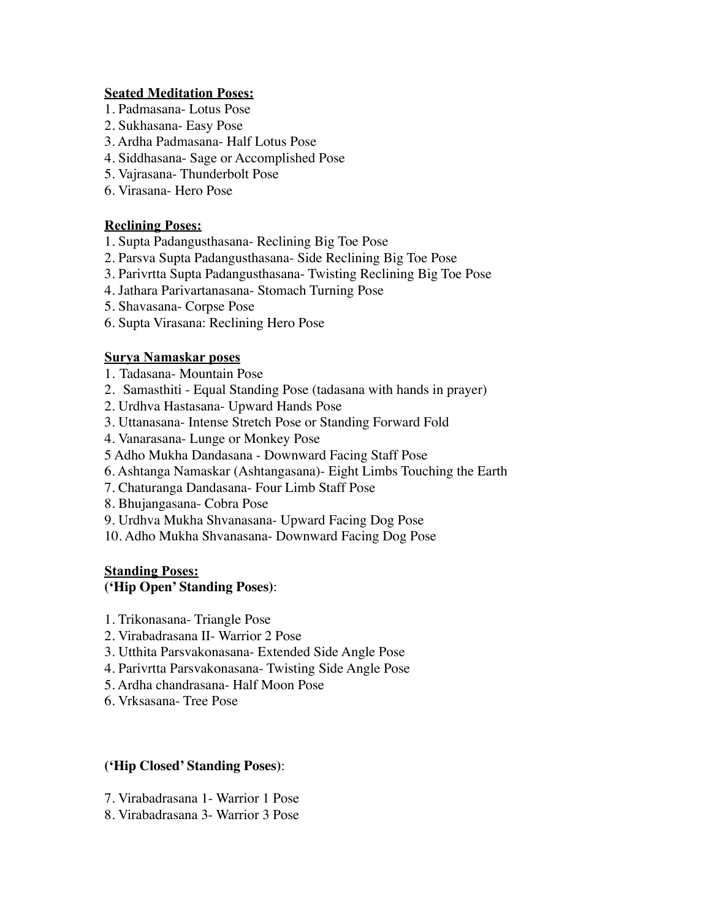### **Seated Meditation Poses:**

- 1. Padmasana- Lotus Pose
- 2. Sukhasana- Easy Pose
- 3. Ardha Padmasana- Half Lotus Pose
- 4. Siddhasana- Sage or Accomplished Pose
- 5. Vajrasana- Thunderbolt Pose
- 6. Virasana- Hero Pose

# **Reclining Poses:**

- 1. Supta Padangusthasana- Reclining Big Toe Pose
- 2. Parsva Supta Padangusthasana- Side Reclining Big Toe Pose
- 3. Parivrtta Supta Padangusthasana- Twisting Reclining Big Toe Pose
- 4. Jathara Parivartanasana- Stomach Turning Pose
- 5. Shavasana- Corpse Pose
- 6. Supta Virasana: Reclining Hero Pose

# **Surya Namaskar poses**

- 1. Tadasana- Mountain Pose
- 2. Samasthiti Equal Standing Pose (tadasana with hands in prayer)
- 2. Urdhva Hastasana- Upward Hands Pose
- 3. Uttanasana- Intense Stretch Pose or Standing Forward Fold
- 4. Vanarasana- Lunge or Monkey Pose
- 5 Adho Mukha Dandasana Downward Facing Staff Pose
- 6. Ashtanga Namaskar (Ashtangasana)- Eight Limbs Touching the Earth
- 7. Chaturanga Dandasana- Four Limb Staff Pose
- 8. Bhujangasana- Cobra Pose
- 9. Urdhva Mukha Shvanasana- Upward Facing Dog Pose
- 10. Adho Mukha Shvanasana- Downward Facing Dog Pose

# **Standing Poses:**

# **('Hip Open' Standing Poses)**:

- 1. Trikonasana- Triangle Pose
- 2. Virabadrasana II- Warrior 2 Pose
- 3. Utthita Parsvakonasana- Extended Side Angle Pose
- 4. Parivrtta Parsvakonasana- Twisting Side Angle Pose
- 5. Ardha chandrasana- Half Moon Pose
- 6. Vrksasana- Tree Pose

# **('Hip Closed' Standing Poses)**:

- 7. Virabadrasana 1- Warrior 1 Pose
- 8. Virabadrasana 3- Warrior 3 Pose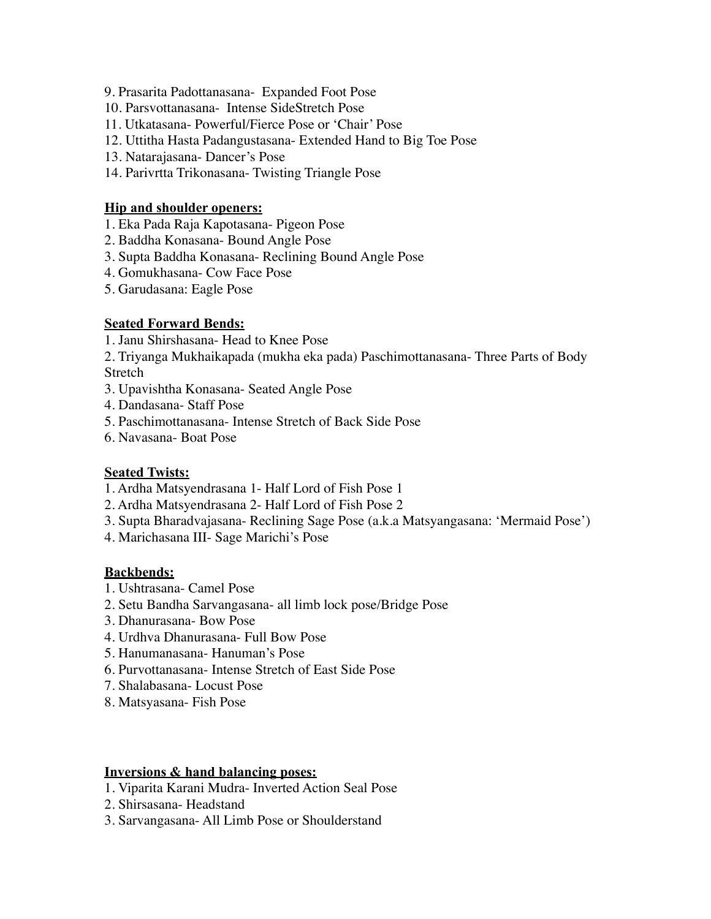- 9. Prasarita Padottanasana- Expanded Foot Pose
- 10. Parsvottanasana- Intense SideStretch Pose
- 11. Utkatasana- Powerful/Fierce Pose or 'Chair' Pose
- 12. Uttitha Hasta Padangustasana- Extended Hand to Big Toe Pose
- 13. Natarajasana- Dancer's Pose
- 14. Parivrtta Trikonasana- Twisting Triangle Pose

### **Hip and shoulder openers:**

- 1. Eka Pada Raja Kapotasana- Pigeon Pose
- 2. Baddha Konasana- Bound Angle Pose
- 3. Supta Baddha Konasana- Reclining Bound Angle Pose
- 4. Gomukhasana- Cow Face Pose
- 5. Garudasana: Eagle Pose

### **Seated Forward Bends:**

- 1. Janu Shirshasana- Head to Knee Pose
- 2. Triyanga Mukhaikapada (mukha eka pada) Paschimottanasana- Three Parts of Body **Stretch**
- 3. Upavishtha Konasana- Seated Angle Pose
- 4. Dandasana- Staff Pose
- 5. Paschimottanasana- Intense Stretch of Back Side Pose
- 6. Navasana- Boat Pose

### **Seated Twists:**

- 1. Ardha Matsyendrasana 1- Half Lord of Fish Pose 1
- 2. Ardha Matsyendrasana 2- Half Lord of Fish Pose 2
- 3. Supta Bharadvajasana- Reclining Sage Pose (a.k.a Matsyangasana: 'Mermaid Pose')
- 4. Marichasana III- Sage Marichi's Pose

#### **Backbends:**

- 1. Ushtrasana- Camel Pose
- 2. Setu Bandha Sarvangasana- all limb lock pose/Bridge Pose
- 3. Dhanurasana- Bow Pose
- 4. Urdhva Dhanurasana- Full Bow Pose
- 5. Hanumanasana- Hanuman's Pose
- 6. Purvottanasana- Intense Stretch of East Side Pose
- 7. Shalabasana- Locust Pose
- 8. Matsyasana- Fish Pose

### **Inversions & hand balancing poses:**

- 1. Viparita Karani Mudra- Inverted Action Seal Pose
- 2. Shirsasana- Headstand
- 3. Sarvangasana- All Limb Pose or Shoulderstand